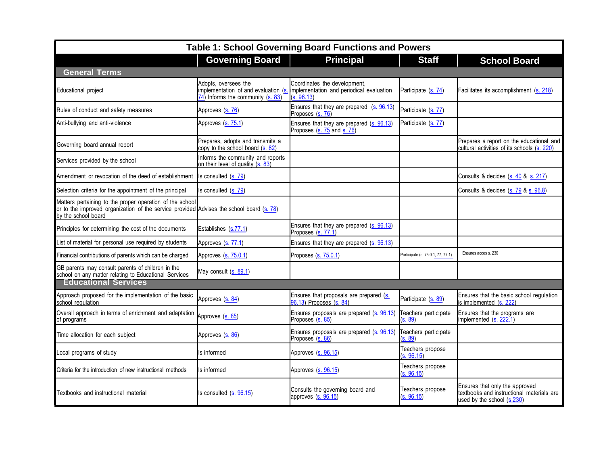| Table 1: School Governing Board Functions and Powers                                                                                                                        |                                                                                                                 |                                                                                        |                                   |                                                                                                           |  |  |
|-----------------------------------------------------------------------------------------------------------------------------------------------------------------------------|-----------------------------------------------------------------------------------------------------------------|----------------------------------------------------------------------------------------|-----------------------------------|-----------------------------------------------------------------------------------------------------------|--|--|
|                                                                                                                                                                             | <b>Governing Board</b>                                                                                          | <b>Principal</b>                                                                       | <b>Staff</b>                      | <b>School Board</b>                                                                                       |  |  |
| <b>General Terms</b>                                                                                                                                                        |                                                                                                                 |                                                                                        |                                   |                                                                                                           |  |  |
| Educational project                                                                                                                                                         | Adopts, oversees the<br>implementation of and evaluation (s.<br>$\overline{74}$ ) Informs the community (s. 83) | Coordinates the development,<br>implementation and periodical evaluation<br>(s. 96.13) | Participate (s. 74)               | Facilitates its accomplishment (s. 218)                                                                   |  |  |
| Rules of conduct and safety measures                                                                                                                                        | Approves (s. 76)                                                                                                | Ensures that they are prepared (s. 96.13)<br>Proposes (s. 76)                          | Participate (s. 77)               |                                                                                                           |  |  |
| Anti-bullying and anti-violence                                                                                                                                             | Approves (s. 75.1)                                                                                              | Ensures that they are prepared (s. 96.13)<br>Proposes (s. 75 and s. 76)                | Participate (s. 77)               |                                                                                                           |  |  |
| Governing board annual report                                                                                                                                               | Prepares, adopts and transmits a<br>copy to the school board (s. 82)                                            |                                                                                        |                                   | Prepares a report on the educational and<br>cultural activities of its schools (s. 220)                   |  |  |
| Services provided by the school                                                                                                                                             | Informs the community and reports<br>on their level of quality (s. 83)                                          |                                                                                        |                                   |                                                                                                           |  |  |
| Amendment or revocation of the deed of establishment                                                                                                                        | Is consulted (s. 79)                                                                                            |                                                                                        |                                   | Consults & decides (s. 40 & s. 217)                                                                       |  |  |
| Selection criteria for the appointment of the principal                                                                                                                     | Is consulted $(s. 79)$                                                                                          |                                                                                        |                                   | Consults & decides (s. 79 & s. 96.8)                                                                      |  |  |
| Matters pertaining to the proper operation of the school<br>or to the improved organization of the service provided Advises the school board (s. 78)<br>by the school board |                                                                                                                 |                                                                                        |                                   |                                                                                                           |  |  |
| Principles for determining the cost of the documents                                                                                                                        | Establishes (s.77.1)                                                                                            | Ensures that they are prepared (s. 96.13)<br>Proposes (s. 77.1)                        |                                   |                                                                                                           |  |  |
| List of material for personal use required by students                                                                                                                      | Approves (s. 77.1)                                                                                              | Ensures that they are prepared (s. 96.13)                                              |                                   |                                                                                                           |  |  |
| Financial contributions of parents which can be charged                                                                                                                     | Approves (s. 75.0.1)                                                                                            | Proposes $(s. 75.0.1)$                                                                 | Participate (s. 75.0.1, 77, 77.1) | Ensures acces s. 230                                                                                      |  |  |
| GB parents may consult parents of children in the<br>school on any matter relating to Educational Services                                                                  | May consult (s. 89.1)                                                                                           |                                                                                        |                                   |                                                                                                           |  |  |
| <b>Educational Services</b>                                                                                                                                                 |                                                                                                                 |                                                                                        |                                   |                                                                                                           |  |  |
| Approach proposed for the implementation of the basic<br>school regulation                                                                                                  | Approves (s. 84)                                                                                                | Ensures that proposals are prepared (s.<br>06.13) Proposes (s. 84)                     | Participate (s. 89)               | Ensures that the basic school regulation<br>is implemented (s. 222)                                       |  |  |
| Overall approach in terms of enrichment and adaptation<br>of programs                                                                                                       | Approves (s. 85)                                                                                                | Ensures proposals are prepared (s. 96.13)<br>Proposes (s. 85)                          | Teachers participate<br>(s. 89)   | Ensures that the programs are<br>implemented (s. 222.1)                                                   |  |  |
| Time allocation for each subject                                                                                                                                            | Approves (s. 86)                                                                                                | Ensures proposals are prepared (s. 96.13)<br>Proposes (s. 86)                          | Teachers participate<br>(s. 89)   |                                                                                                           |  |  |
| Local programs of study                                                                                                                                                     | Is informed                                                                                                     | Approves (s. 96.15)                                                                    | Teachers propose<br>(s. 96.15)    |                                                                                                           |  |  |
| Criteria for the introduction of new instructional methods                                                                                                                  | Is informed                                                                                                     | Approves (s. 96.15)                                                                    | Teachers propose<br>(s. 96.15)    |                                                                                                           |  |  |
| Textbooks and instructional material                                                                                                                                        | Is consulted $(s. 96.15)$                                                                                       | Consults the governing board and<br>approves (s. 96.15)                                | Teachers propose<br>(s. 96.15)    | Ensures that only the approved<br>textbooks and instructional materials are<br>used by the school (s.230) |  |  |